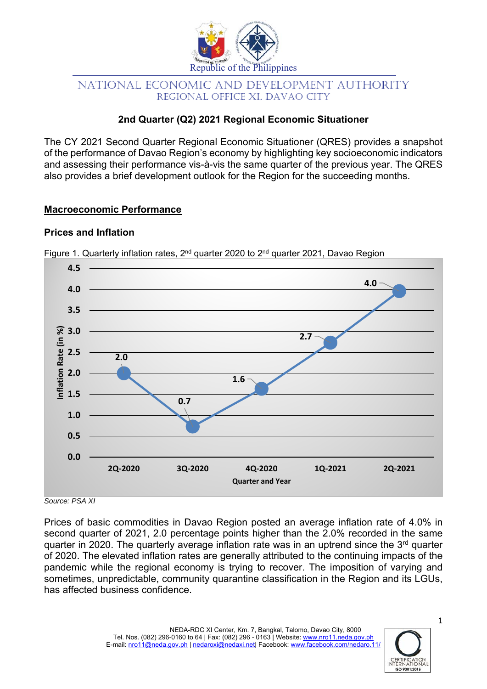

# NATIONAL ECONOMIC AND DEVELOPMENT AUTHORITY REGIONAL OFFICE XI, DAVAO CITY

# **2nd Quarter (Q2) 2021 Regional Economic Situationer**

The CY 2021 Second Quarter Regional Economic Situationer (QRES) provides a snapshot of the performance of Davao Region's economy by highlighting key socioeconomic indicators and assessing their performance vis-à-vis the same quarter of the previous year. The QRES also provides a brief development outlook for the Region for the succeeding months.

# **Macroeconomic Performance**

# **Prices and Inflation**



Figure 1. Quarterly inflation rates,  $2^{nd}$  quarter 2020 to  $2^{nd}$  quarter 2021, Davao Region

Prices of basic commodities in Davao Region posted an average inflation rate of 4.0% in second quarter of 2021, 2.0 percentage points higher than the 2.0% recorded in the same quarter in 2020. The quarterly average inflation rate was in an uptrend since the 3rd quarter of 2020. The elevated inflation rates are generally attributed to the continuing impacts of the pandemic while the regional economy is trying to recover. The imposition of varying and sometimes, unpredictable, community quarantine classification in the Region and its LGUs, has affected business confidence.



1

*Source: PSA XI*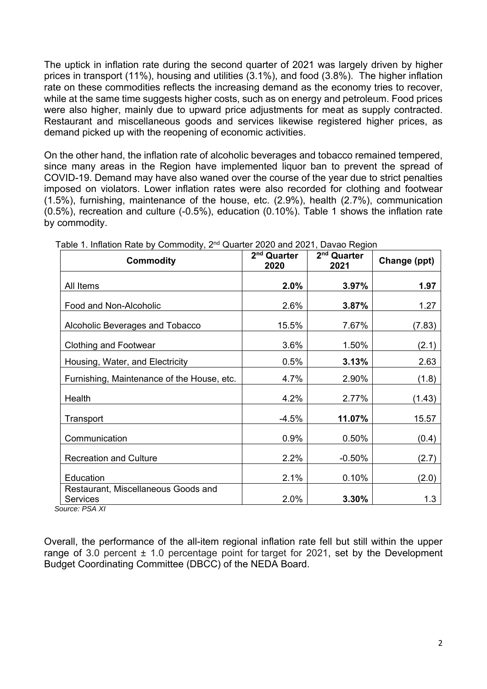The uptick in inflation rate during the second quarter of 2021 was largely driven by higher prices in transport (11%), housing and utilities (3.1%), and food (3.8%). The higher inflation rate on these commodities reflects the increasing demand as the economy tries to recover, while at the same time suggests higher costs, such as on energy and petroleum. Food prices were also higher, mainly due to upward price adjustments for meat as supply contracted. Restaurant and miscellaneous goods and services likewise registered higher prices, as demand picked up with the reopening of economic activities.

On the other hand, the inflation rate of alcoholic beverages and tobacco remained tempered, since many areas in the Region have implemented liquor ban to prevent the spread of COVID-19. Demand may have also waned over the course of the year due to strict penalties imposed on violators. Lower inflation rates were also recorded for clothing and footwear (1.5%), furnishing, maintenance of the house, etc. (2.9%), health (2.7%), communication (0.5%), recreation and culture (-0.5%), education (0.10%). Table 1 shows the inflation rate by commodity.

| <b>Commodity</b>                                       | 2 <sup>nd</sup> Quarter<br>2020 | 2 <sup>nd</sup> Quarter<br>2021 | Change (ppt) |
|--------------------------------------------------------|---------------------------------|---------------------------------|--------------|
| All Items                                              | 2.0%                            | 3.97%                           | 1.97         |
| Food and Non-Alcoholic                                 | 2.6%                            | 3.87%                           | 1.27         |
| Alcoholic Beverages and Tobacco                        | 15.5%                           | 7.67%                           | (7.83)       |
| <b>Clothing and Footwear</b>                           | 3.6%                            | 1.50%                           | (2.1)        |
| Housing, Water, and Electricity                        | 0.5%                            | 3.13%                           | 2.63         |
| Furnishing, Maintenance of the House, etc.             | 4.7%                            | 2.90%                           | (1.8)        |
| Health                                                 | 4.2%                            | 2.77%                           | (1.43)       |
| Transport                                              | $-4.5%$                         | 11.07%                          | 15.57        |
| Communication                                          | 0.9%                            | 0.50%                           | (0.4)        |
| <b>Recreation and Culture</b>                          | 2.2%                            | $-0.50%$                        | (2.7)        |
| Education                                              | 2.1%                            | 0.10%                           | (2.0)        |
| Restaurant, Miscellaneous Goods and<br><b>Services</b> | 2.0%                            | 3.30%                           | 1.3          |

Table 1. Inflation Rate by Commodity, 2<sup>nd</sup> Quarter 2020 and 2021, Davao Region

 *Source: PSA XI* 

Overall, the performance of the all-item regional inflation rate fell but still within the upper range of 3.0 percent  $\pm$  1.0 percentage point for target for 2021, set by the Development Budget Coordinating Committee (DBCC) of the NEDA Board.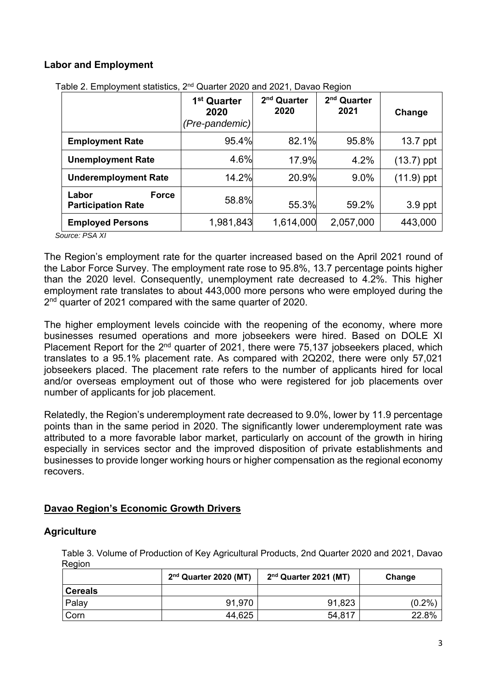### **Labor and Employment**

|                                                    | 1 <sup>st</sup> Quarter<br>2020<br>(Pre-pandemic) | 2 <sup>nd</sup> Quarter<br>2020 | 2 <sup>nd</sup> Quarter<br>2021 | Change       |
|----------------------------------------------------|---------------------------------------------------|---------------------------------|---------------------------------|--------------|
| <b>Employment Rate</b>                             | 95.4%                                             | 82.1%                           | 95.8%                           | 13.7 ppt     |
| <b>Unemployment Rate</b>                           | 4.6%                                              | 17.9%                           | 4.2%                            | $(13.7)$ ppt |
| <b>Underemployment Rate</b>                        | 14.2%                                             | 20.9%                           | $9.0\%$                         | $(11.9)$ ppt |
| Labor<br><b>Force</b><br><b>Participation Rate</b> | 58.8%                                             | 55.3%                           | 59.2%                           | 3.9 ppt      |
| <b>Employed Persons</b>                            | 1,981,843                                         | 1,614,000                       | 2,057,000                       | 443,000      |

Table 2. Employment statistics, 2nd Quarter 2020 and 2021, Davao Region

*Source: PSA XI* 

The Region's employment rate for the quarter increased based on the April 2021 round of the Labor Force Survey. The employment rate rose to 95.8%, 13.7 percentage points higher than the 2020 level. Consequently, unemployment rate decreased to 4.2%. This higher employment rate translates to about 443,000 more persons who were employed during the 2<sup>nd</sup> quarter of 2021 compared with the same quarter of 2020.

The higher employment levels coincide with the reopening of the economy, where more businesses resumed operations and more jobseekers were hired. Based on DOLE XI Placement Report for the 2<sup>nd</sup> quarter of 2021, there were 75,137 jobseekers placed, which translates to a 95.1% placement rate. As compared with 2Q202, there were only 57,021 jobseekers placed. The placement rate refers to the number of applicants hired for local and/or overseas employment out of those who were registered for job placements over number of applicants for job placement.

Relatedly, the Region's underemployment rate decreased to 9.0%, lower by 11.9 percentage points than in the same period in 2020. The significantly lower underemployment rate was attributed to a more favorable labor market, particularly on account of the growth in hiring especially in services sector and the improved disposition of private establishments and businesses to provide longer working hours or higher compensation as the regional economy recovers.

### **Davao Region's Economic Growth Drivers**

### **Agriculture**

 Table 3. Volume of Production of Key Agricultural Products, 2nd Quarter 2020 and 2021, Davao Region

|                | $2nd$ Quarter 2020 (MT) | $2nd$ Quarter 2021 (MT) | Change    |  |
|----------------|-------------------------|-------------------------|-----------|--|
| <b>Cereals</b> |                         |                         |           |  |
| Palay          | 91,970                  | 91,823                  | $(0.2\%)$ |  |
| Corn           | 44,625                  | 54,817                  | 22.8%     |  |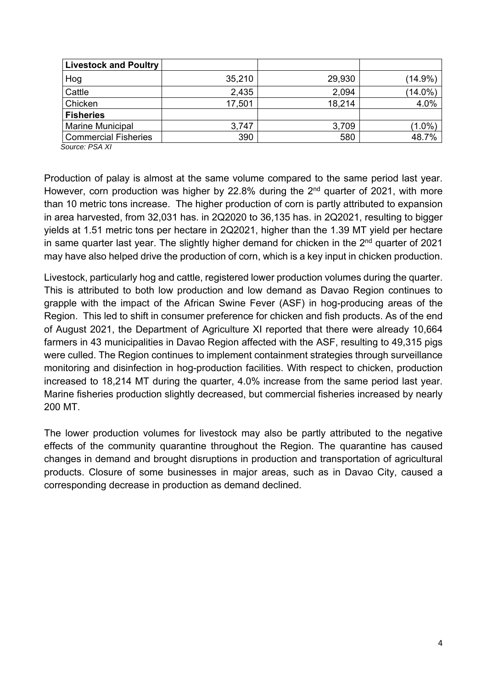| <b>Livestock and Poultry</b> |        |        |            |
|------------------------------|--------|--------|------------|
| Hog                          | 35,210 | 29,930 | $(14.9\%)$ |
| Cattle                       | 2,435  | 2,094  | $(14.0\%)$ |
| Chicken                      | 17,501 | 18,214 | 4.0%       |
| <b>Fisheries</b>             |        |        |            |
| <b>Marine Municipal</b>      | 3,747  | 3,709  | $(1.0\%)$  |
| <b>Commercial Fisheries</b>  | 390    | 580    | 48.7%      |
| Course DCA VI                |        |        |            |

 *Source: PSA XI* 

Production of palay is almost at the same volume compared to the same period last year. However, corn production was higher by 22.8% during the  $2<sup>nd</sup>$  quarter of 2021, with more than 10 metric tons increase. The higher production of corn is partly attributed to expansion in area harvested, from 32,031 has. in 2Q2020 to 36,135 has. in 2Q2021, resulting to bigger yields at 1.51 metric tons per hectare in 2Q2021, higher than the 1.39 MT yield per hectare in same quarter last year. The slightly higher demand for chicken in the  $2<sup>nd</sup>$  quarter of 2021 may have also helped drive the production of corn, which is a key input in chicken production.

Livestock, particularly hog and cattle, registered lower production volumes during the quarter. This is attributed to both low production and low demand as Davao Region continues to grapple with the impact of the African Swine Fever (ASF) in hog-producing areas of the Region. This led to shift in consumer preference for chicken and fish products. As of the end of August 2021, the Department of Agriculture XI reported that there were already 10,664 farmers in 43 municipalities in Davao Region affected with the ASF, resulting to 49,315 pigs were culled. The Region continues to implement containment strategies through surveillance monitoring and disinfection in hog-production facilities. With respect to chicken, production increased to 18,214 MT during the quarter, 4.0% increase from the same period last year. Marine fisheries production slightly decreased, but commercial fisheries increased by nearly 200 MT.

The lower production volumes for livestock may also be partly attributed to the negative effects of the community quarantine throughout the Region. The quarantine has caused changes in demand and brought disruptions in production and transportation of agricultural products. Closure of some businesses in major areas, such as in Davao City, caused a corresponding decrease in production as demand declined.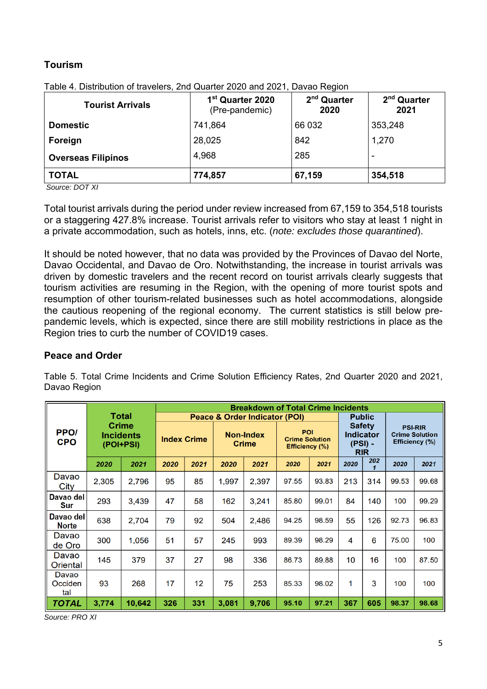# **Tourism**

| <b>Tourist Arrivals</b>   | 1 <sup>st</sup> Quarter 2020<br>(Pre-pandemic) | 2 <sup>nd</sup> Quarter<br>2020 | 2 <sup>nd</sup> Quarter<br>2021 |  |
|---------------------------|------------------------------------------------|---------------------------------|---------------------------------|--|
| <b>Domestic</b>           | 741,864                                        | 66 032                          | 353,248                         |  |
| Foreign                   | 28,025                                         | 842                             | 1,270                           |  |
| <b>Overseas Filipinos</b> | 4,968                                          | 285                             | ٠                               |  |
| <b>TOTAL</b>              | 774,857                                        | 67,159                          | 354,518                         |  |

Table 4. Distribution of travelers, 2nd Quarter 2020 and 2021, Davao Region

 *Source: DOT XI* 

Total tourist arrivals during the period under review increased from 67,159 to 354,518 tourists or a staggering 427.8% increase. Tourist arrivals refer to visitors who stay at least 1 night in a private accommodation, such as hotels, inns, etc. (*note: excludes those quarantined*).

It should be noted however, that no data was provided by the Provinces of Davao del Norte, Davao Occidental, and Davao de Oro. Notwithstanding, the increase in tourist arrivals was driven by domestic travelers and the recent record on tourist arrivals clearly suggests that tourism activities are resuming in the Region, with the opening of more tourist spots and resumption of other tourism-related businesses such as hotel accommodations, alongside the cautious reopening of the regional economy. The current statistics is still below prepandemic levels, which is expected, since there are still mobility restrictions in place as the Region tries to curb the number of COVID19 cases.

### **Peace and Order**

Table 5. Total Crime Incidents and Crime Solution Efficiency Rates, 2nd Quarter 2020 and 2021, Davao Region

|                                |                                                        |        |                               |                   |                                  | <b>Breakdown of Total Crime Incidents</b> |                                                              |       |                                                              |     |                                                           |       |
|--------------------------------|--------------------------------------------------------|--------|-------------------------------|-------------------|----------------------------------|-------------------------------------------|--------------------------------------------------------------|-------|--------------------------------------------------------------|-----|-----------------------------------------------------------|-------|
|                                | Total<br><b>Crime</b><br><b>Incidents</b><br>(POI+PSI) |        | Peace & Order Indicator (POI) |                   |                                  |                                           |                                                              |       | <b>Public</b>                                                |     |                                                           |       |
| PPO <sub>I</sub><br><b>CPO</b> |                                                        |        | <b>Index Crime</b>            |                   | <b>Non-Index</b><br><b>Crime</b> |                                           | <b>POI</b><br><b>Crime Solution</b><br><b>Efficiency (%)</b> |       | <b>Safety</b><br><b>Indicator</b><br>$(PSI)$ -<br><b>RIR</b> |     | <b>PSI-RIR</b><br><b>Crime Solution</b><br>Efficiency (%) |       |
|                                | 2020                                                   | 2021   | 2020                          | 2021              | 2020                             | 2021                                      | 2020                                                         | 2021  | 2020                                                         | 202 | 2020                                                      | 2021  |
| Davao<br>City                  | 2.305                                                  | 2.796  | 95                            | 85                | 1,997                            | 2.397                                     | 97.55                                                        | 93.83 | 213                                                          | 314 | 99.53                                                     | 99.68 |
| Davao del<br><b>Sur</b>        | 293                                                    | 3.439  | 47                            | 58                | 162                              | 3.241                                     | 85.80                                                        | 99.01 | 84                                                           | 140 | 100                                                       | 99.29 |
| Davao del<br><b>Norte</b>      | 638                                                    | 2,704  | 79                            | 92                | 504                              | 2,486                                     | 94.25                                                        | 98.59 | 55                                                           | 126 | 92.73                                                     | 96.83 |
| Davao<br>de Oro                | 300                                                    | 1,056  | 51                            | 57                | 245                              | 993                                       | 89.39                                                        | 98.29 | 4                                                            | 6   | 75.00                                                     | 100   |
| Davao<br>Oriental              | 145                                                    | 379    | 37                            | 27                | 98                               | 336                                       | 86.73                                                        | 89.88 | 10                                                           | 16  | 100                                                       | 87.50 |
| Davao<br>Occiden<br>tal        | 93                                                     | 268    | 17                            | $12 \overline{ }$ | 75                               | 253                                       | 85.33                                                        | 98.02 | 1                                                            | 3   | 100                                                       | 100   |
| <b>TOTAL</b>                   | 3,774                                                  | 10,642 | 326                           | 331               | 3,081                            | 9,706                                     | 95.10                                                        | 97.21 | 367                                                          | 605 | 98.37                                                     | 98.68 |

*Source: PRO XI*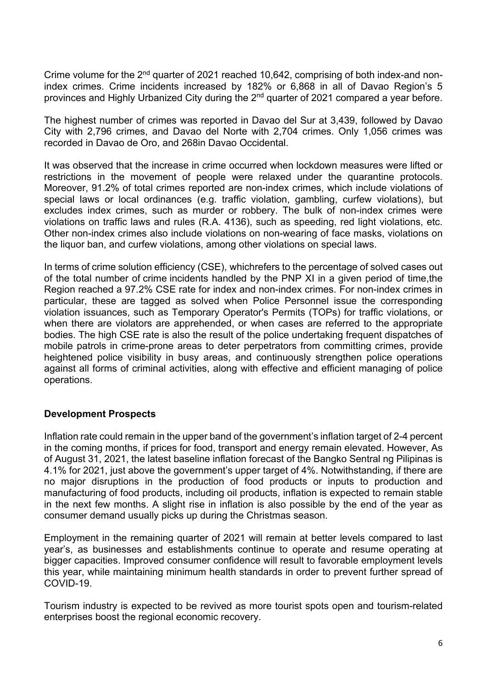Crime volume for the  $2<sup>nd</sup>$  quarter of 2021 reached 10,642, comprising of both index-and nonindex crimes. Crime incidents increased by 182% or 6,868 in all of Davao Region's 5 provinces and Highly Urbanized City during the 2<sup>nd</sup> quarter of 2021 compared a year before.

The highest number of crimes was reported in Davao del Sur at 3,439, followed by Davao City with 2,796 crimes, and Davao del Norte with 2,704 crimes. Only 1,056 crimes was recorded in Davao de Oro, and 268in Davao Occidental.

It was observed that the increase in crime occurred when lockdown measures were lifted or restrictions in the movement of people were relaxed under the quarantine protocols. Moreover, 91.2% of total crimes reported are non-index crimes, which include violations of special laws or local ordinances (e.g. traffic violation, gambling, curfew violations), but excludes index crimes, such as murder or robbery. The bulk of non-index crimes were violations on traffic laws and rules (R.A. 4136), such as speeding, red light violations, etc. Other non-index crimes also include violations on non-wearing of face masks, violations on the liquor ban, and curfew violations, among other violations on special laws.

In terms of crime solution efficiency (CSE), whichrefers to the percentage of solved cases out of the total number of crime incidents handled by the PNP XI in a given period of time,the Region reached a 97.2% CSE rate for index and non-index crimes. For non-index crimes in particular, these are tagged as solved when Police Personnel issue the corresponding violation issuances, such as Temporary Operator's Permits (TOPs) for traffic violations, or when there are violators are apprehended, or when cases are referred to the appropriate bodies. The high CSE rate is also the result of the police undertaking frequent dispatches of mobile patrols in crime-prone areas to deter perpetrators from committing crimes, provide heightened police visibility in busy areas, and continuously strengthen police operations against all forms of criminal activities, along with effective and efficient managing of police operations.

#### **Development Prospects**

Inflation rate could remain in the upper band of the government's inflation target of 2-4 percent in the coming months, if prices for food, transport and energy remain elevated. However, As of August 31, 2021, the latest baseline inflation forecast of the Bangko Sentral ng Pilipinas is 4.1% for 2021, just above the government's upper target of 4%. Notwithstanding, if there are no major disruptions in the production of food products or inputs to production and manufacturing of food products, including oil products, inflation is expected to remain stable in the next few months. A slight rise in inflation is also possible by the end of the year as consumer demand usually picks up during the Christmas season.

Employment in the remaining quarter of 2021 will remain at better levels compared to last year's, as businesses and establishments continue to operate and resume operating at bigger capacities. Improved consumer confidence will result to favorable employment levels this year, while maintaining minimum health standards in order to prevent further spread of COVID-19.

Tourism industry is expected to be revived as more tourist spots open and tourism-related enterprises boost the regional economic recovery.